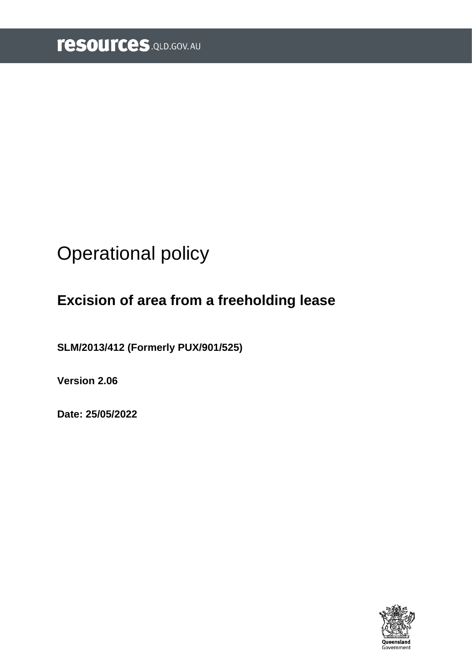# <span id="page-0-0"></span>Operational policy

## **Excision of area from a freeholding lease**

**SLM/2013/412 (Formerly PUX/901/525)**

**Version 2.06**

**Date: 25/05/2022**

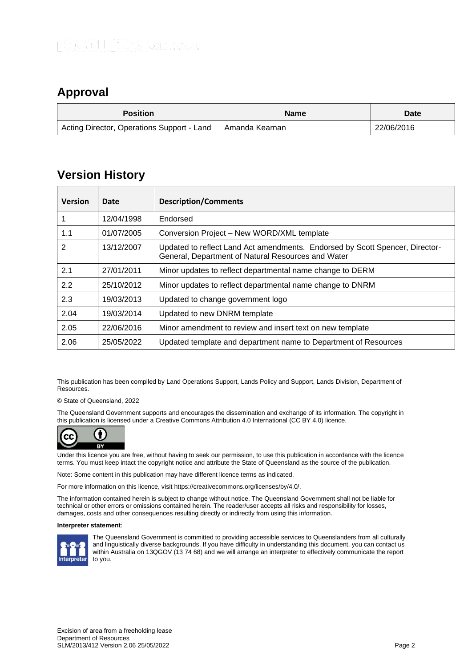### <span id="page-1-0"></span>**Approval**

| <b>Position</b>                            | <b>Name</b>    | <b>Date</b> |
|--------------------------------------------|----------------|-------------|
| Acting Director, Operations Support - Land | Amanda Kearnan | 22/06/2016  |

### <span id="page-1-1"></span>**Version History**

| <b>Version</b> | Date       | <b>Description/Comments</b>                                                                                                        |
|----------------|------------|------------------------------------------------------------------------------------------------------------------------------------|
|                | 12/04/1998 | Endorsed                                                                                                                           |
| 1.1            | 01/07/2005 | Conversion Project - New WORD/XML template                                                                                         |
| 2              | 13/12/2007 | Updated to reflect Land Act amendments. Endorsed by Scott Spencer, Director-<br>General, Department of Natural Resources and Water |
| 2.1            | 27/01/2011 | Minor updates to reflect departmental name change to DERM                                                                          |
| 2.2            | 25/10/2012 | Minor updates to reflect departmental name change to DNRM                                                                          |
| 2.3            | 19/03/2013 | Updated to change government logo                                                                                                  |
| 2.04           | 19/03/2014 | Updated to new DNRM template                                                                                                       |
| 2.05           | 22/06/2016 | Minor amendment to review and insert text on new template                                                                          |
| 2.06           | 25/05/2022 | Updated template and department name to Department of Resources                                                                    |

This publication has been compiled by Land Operations Support, Lands Policy and Support, Lands Division, Department of Resources.

© State of Queensland, 2022

The Queensland Government supports and encourages the dissemination and exchange of its information. The copyright in this publication is licensed under a Creative Commons Attribution 4.0 International (CC BY 4.0) licence.



Under this licence you are free, without having to seek our permission, to use this publication in accordance with the licence terms. You must keep intact the copyright notice and attribute the State of Queensland as the source of the publication.

Note: Some content in this publication may have different licence terms as indicated.

For more information on this licence, visit https://creativecommons.org/licenses/by/4.0/.

The information contained herein is subject to change without notice. The Queensland Government shall not be liable for technical or other errors or omissions contained herein. The reader/user accepts all risks and responsibility for losses, damages, costs and other consequences resulting directly or indirectly from using this information.

#### **Interpreter statement**:



The Queensland Government is committed to providing accessible services to Queenslanders from all culturally and linguistically diverse backgrounds. If you have difficulty in understanding this document, you can contact us within Australia on 13QGOV (13 74 68) and we will arrange an interpreter to effectively communicate the report to you.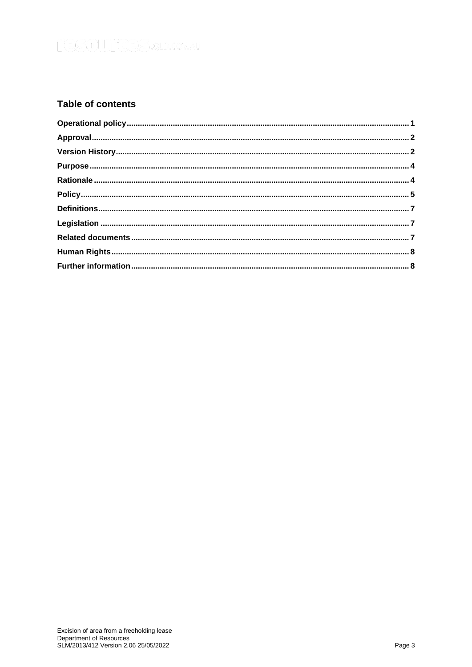### **Table of contents**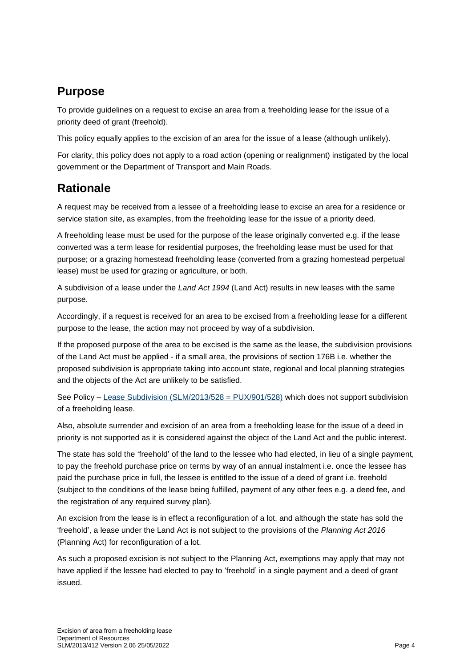### <span id="page-3-0"></span>**Purpose**

To provide guidelines on a request to excise an area from a freeholding lease for the issue of a priority deed of grant (freehold).

This policy equally applies to the excision of an area for the issue of a lease (although unlikely).

For clarity, this policy does not apply to a road action (opening or realignment) instigated by the local government or the Department of Transport and Main Roads.

### <span id="page-3-1"></span>**Rationale**

A request may be received from a lessee of a freeholding lease to excise an area for a residence or service station site, as examples, from the freeholding lease for the issue of a priority deed.

A freeholding lease must be used for the purpose of the lease originally converted e.g. if the lease converted was a term lease for residential purposes, the freeholding lease must be used for that purpose; or a grazing homestead freeholding lease (converted from a grazing homestead perpetual lease) must be used for grazing or agriculture, or both.

A subdivision of a lease under the *Land Act 1994* (Land Act) results in new leases with the same purpose.

Accordingly, if a request is received for an area to be excised from a freeholding lease for a different purpose to the lease, the action may not proceed by way of a subdivision.

If the proposed purpose of the area to be excised is the same as the lease, the subdivision provisions of the Land Act must be applied - if a small area, the provisions of section 176B i.e. whether the proposed subdivision is appropriate taking into account state, regional and local planning strategies and the objects of the Act are unlikely to be satisfied.

See Policy – [Lease Subdivision \(SLM/2013/528 = PUX/901/528\)](https://www.resources.qld.gov.au/?a=109113:policy_registry/lease-subdivision.pdf&ver=4.01) which does not support subdivision of a freeholding lease.

Also, absolute surrender and excision of an area from a freeholding lease for the issue of a deed in priority is not supported as it is considered against the object of the Land Act and the public interest.

The state has sold the 'freehold' of the land to the lessee who had elected, in lieu of a single payment, to pay the freehold purchase price on terms by way of an annual instalment i.e. once the lessee has paid the purchase price in full, the lessee is entitled to the issue of a deed of grant i.e. freehold (subject to the conditions of the lease being fulfilled, payment of any other fees e.g. a deed fee, and the registration of any required survey plan).

An excision from the lease is in effect a reconfiguration of a lot, and although the state has sold the 'freehold', a lease under the Land Act is not subject to the provisions of the *Planning Act 2016* (Planning Act) for reconfiguration of a lot.

As such a proposed excision is not subject to the Planning Act, exemptions may apply that may not have applied if the lessee had elected to pay to 'freehold' in a single payment and a deed of grant issued.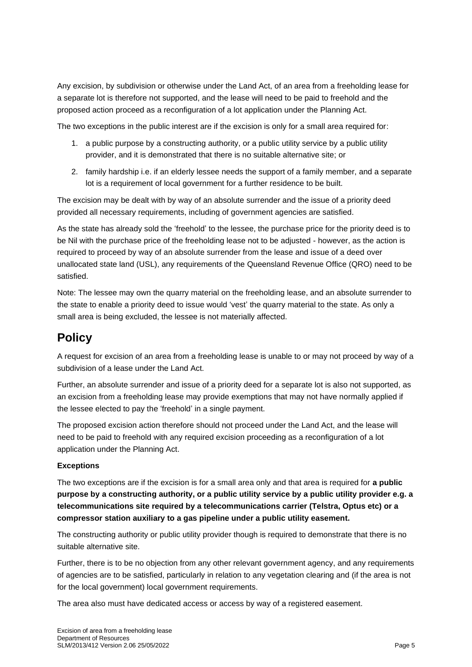Any excision, by subdivision or otherwise under the Land Act, of an area from a freeholding lease for a separate lot is therefore not supported, and the lease will need to be paid to freehold and the proposed action proceed as a reconfiguration of a lot application under the Planning Act.

The two exceptions in the public interest are if the excision is only for a small area required for:

- 1. a public purpose by a constructing authority, or a public utility service by a public utility provider, and it is demonstrated that there is no suitable alternative site; or
- 2. family hardship i.e. if an elderly lessee needs the support of a family member, and a separate lot is a requirement of local government for a further residence to be built.

The excision may be dealt with by way of an absolute surrender and the issue of a priority deed provided all necessary requirements, including of government agencies are satisfied.

As the state has already sold the 'freehold' to the lessee, the purchase price for the priority deed is to be Nil with the purchase price of the freeholding lease not to be adjusted - however, as the action is required to proceed by way of an absolute surrender from the lease and issue of a deed over unallocated state land (USL), any requirements of the Queensland Revenue Office (QRO) need to be satisfied.

Note: The lessee may own the quarry material on the freeholding lease, and an absolute surrender to the state to enable a priority deed to issue would 'vest' the quarry material to the state. As only a small area is being excluded, the lessee is not materially affected.

### <span id="page-4-0"></span>**Policy**

A request for excision of an area from a freeholding lease is unable to or may not proceed by way of a subdivision of a lease under the Land Act.

Further, an absolute surrender and issue of a priority deed for a separate lot is also not supported, as an excision from a freeholding lease may provide exemptions that may not have normally applied if the lessee elected to pay the 'freehold' in a single payment.

The proposed excision action therefore should not proceed under the Land Act, and the lease will need to be paid to freehold with any required excision proceeding as a reconfiguration of a lot application under the Planning Act.

#### **Exceptions**

The two exceptions are if the excision is for a small area only and that area is required for **a public purpose by a constructing authority, or a public utility service by a public utility provider e.g. a telecommunications site required by a telecommunications carrier (Telstra, Optus etc) or a compressor station auxiliary to a gas pipeline under a public utility easement.**

The constructing authority or public utility provider though is required to demonstrate that there is no suitable alternative site.

Further, there is to be no objection from any other relevant government agency, and any requirements of agencies are to be satisfied, particularly in relation to any vegetation clearing and (if the area is not for the local government) local government requirements.

The area also must have dedicated access or access by way of a registered easement.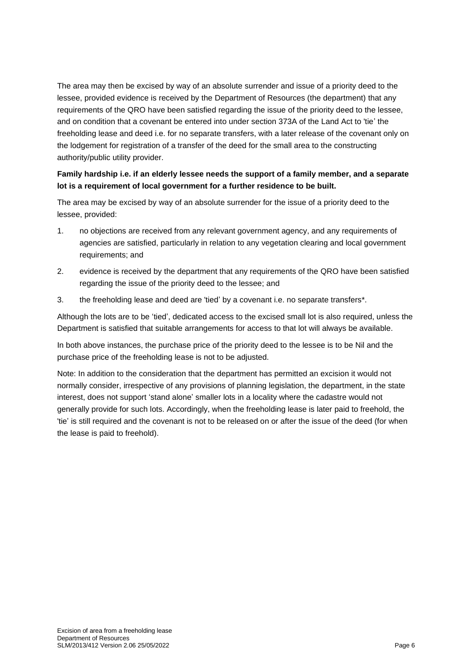The area may then be excised by way of an absolute surrender and issue of a priority deed to the lessee, provided evidence is received by the Department of Resources (the department) that any requirements of the QRO have been satisfied regarding the issue of the priority deed to the lessee, and on condition that a covenant be entered into under section 373A of the Land Act to 'tie' the freeholding lease and deed i.e. for no separate transfers, with a later release of the covenant only on the lodgement for registration of a transfer of the deed for the small area to the constructing authority/public utility provider.

### **Family hardship i.e. if an elderly lessee needs the support of a family member, and a separate lot is a requirement of local government for a further residence to be built.**

The area may be excised by way of an absolute surrender for the issue of a priority deed to the lessee, provided:

- 1. no objections are received from any relevant government agency, and any requirements of agencies are satisfied, particularly in relation to any vegetation clearing and local government requirements; and
- 2. evidence is received by the department that any requirements of the QRO have been satisfied regarding the issue of the priority deed to the lessee; and
- 3. the freeholding lease and deed are 'tied' by a covenant i.e. no separate transfers\*.

Although the lots are to be 'tied', dedicated access to the excised small lot is also required, unless the Department is satisfied that suitable arrangements for access to that lot will always be available.

In both above instances, the purchase price of the priority deed to the lessee is to be Nil and the purchase price of the freeholding lease is not to be adjusted.

Note: In addition to the consideration that the department has permitted an excision it would not normally consider, irrespective of any provisions of planning legislation, the department, in the state interest, does not support 'stand alone' smaller lots in a locality where the cadastre would not generally provide for such lots. Accordingly, when the freeholding lease is later paid to freehold, the 'tie' is still required and the covenant is not to be released on or after the issue of the deed (for when the lease is paid to freehold).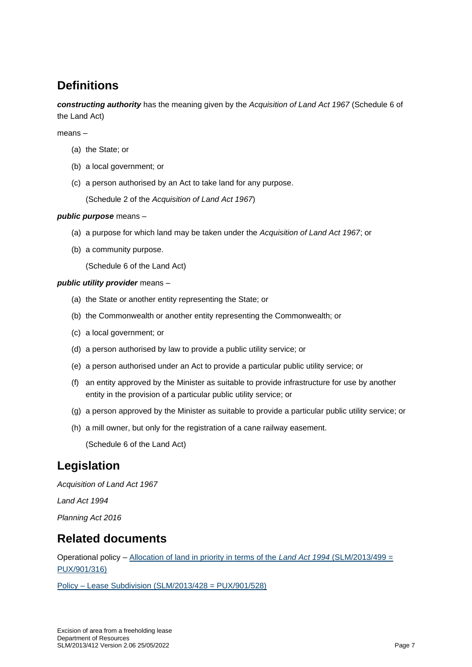### <span id="page-6-0"></span>**Definitions**

*constructing authority* has the meaning given by the *Acquisition of Land Act 1967* (Schedule 6 of the Land Act)

#### means –

- (a) the State; or
- (b) a local government; or
- (c) a person authorised by an Act to take land for any purpose.

(Schedule 2 of the *Acquisition of Land Act 1967*)

#### *public purpose* means –

- (a) a purpose for which land may be taken under the *Acquisition of Land Act 1967*; or
- (b) a community purpose.

(Schedule 6 of the Land Act)

#### *public utility provider* means –

- (a) the State or another entity representing the State; or
- (b) the Commonwealth or another entity representing the Commonwealth; or
- (c) a local government; or
- (d) a person authorised by law to provide a public utility service; or
- (e) a person authorised under an Act to provide a particular public utility service; or
- (f) an entity approved by the Minister as suitable to provide infrastructure for use by another entity in the provision of a particular public utility service; or
- (g) a person approved by the Minister as suitable to provide a particular public utility service; or
- (h) a mill owner, but only for the registration of a cane railway easement.

(Schedule 6 of the Land Act)

### <span id="page-6-1"></span>**Legislation**

*Acquisition of Land Act 1967*

*Land Act 1994* 

*Planning Act 2016*

### <span id="page-6-2"></span>**Related documents**

Operational policy – [Allocation of land in priority in terms of the](https://www.resources.qld.gov.au/?a=109113:policy_registry/allocation-land-in-priority.pdf) *Land Act 1994* (SLM/2013/499 = [PUX/901/316\)](https://www.resources.qld.gov.au/?a=109113:policy_registry/allocation-land-in-priority.pdf)

Policy – [Lease Subdivision \(SLM/2013/428 = PUX/901/528\)](https://www.resources.qld.gov.au/?a=109113:policy_registry/lease-subdivision.pdf&ver=4.01)